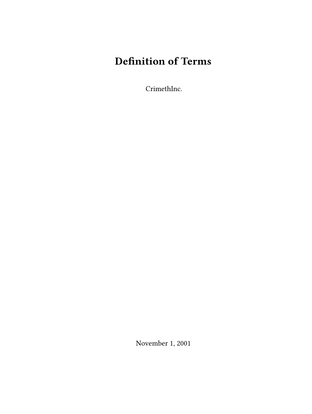# **Definition of Terms**

CrimethInc.

November 1, 2001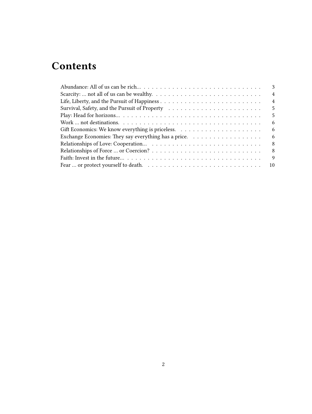## **Contents**

| 3                                                                                                                          |
|----------------------------------------------------------------------------------------------------------------------------|
| $\overline{4}$                                                                                                             |
| $\overline{4}$                                                                                                             |
| .5                                                                                                                         |
| .5                                                                                                                         |
| Work  not destinations. $\ldots \ldots \ldots \ldots \ldots \ldots \ldots \ldots \ldots \ldots \ldots \ldots \ldots$<br>-6 |
| -6                                                                                                                         |
| -6                                                                                                                         |
| -8                                                                                                                         |
| - 8                                                                                                                        |
| 9                                                                                                                          |
|                                                                                                                            |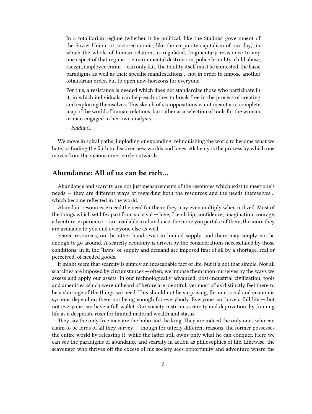In a totalitarian regime (whether it be political, like the Stalinist government of the Soviet Union, or socio-economic, like the corporate capitalism of our day), in which the whole of human relations is regulated, fragmentary resistance to any one aspect of that regime — environmental destruction, police brutality, child abuse, racism, employee ennui - can only fail. The totality itself must be contested, the basic paradigms as well as their specific manifestations… not in order to impose another totalitarian order, but to open new horizons for everyone.

For this, a resistance is needed which does not standardize those who participate in it, in which individuals can help each other to break free in the process of creating and exploring themselves. This sketch of six oppositions is not meant as a complete map of the world of human relations, but rather as a selection of tools for the woman or man engaged in her own analysis.

*— Nadia C.*

We move in spiral paths, imploding or expanding, relinquishing the world to become what we hate, or finding the faith to discover new worlds and loves. Alchemy is the process by which one moves from the vicious inner circle outwards…

### <span id="page-2-0"></span>**Abundance: All of us can be rich…**

Abundance and scarcity are not just measurements of the resources which exist to meet one's needs — they are different ways of regarding both the resources and the needs themselves… which become reflected in the world.

Abundant resources exceed the need for them; they may even multiply when utilized. Most of the things which set life apart from survival — love, friendship, confidence, imagination, courage, adventure, experience — are available in abundance: the more you partake of them, the more they are available to you and everyone else as well.

Scarce resources, on the other hand, exist in limited supply, and there may simply not be enough to go around. A scarcity economy is driven by the considerations necessitated by those conditions: in it, the "laws" of supply and demand are imposed first of all by a shortage, real or perceived, of needed goods.

It might seem that scarcity is simply an inescapable fact of life, but it's not that simple. Not all scarcities are imposed by circumstances — often, we impose them upon ourselves by the ways we assess and apply our assets. In our technologically advanced, post-industrial civilization, tools and amenities which were unheard of before are plentiful, yet most of us distinctly feel there to be a shortage of the things we need. This should not be surprising, for our social and economic systems depend on there not being enough for everybody. Everyone can have a full life  $-$  but not everyone can have a full wallet. Our society institutes scarcity and deprivation, by framing life as a desperate rush for limited material wealth and status.

They say the only free men are the hobo and the king. They are indeed the only ones who can claim to be lords of all they survey — though for utterly different reasons: the former possesses the entire world by releasing it, while the latter still owns only what he can conquer. Here we can see the paradigms of abundance and scarcity in action as philosophies of life. Likewise, the scavenger who thrives off the excess of his society sees opportunity and adventure where the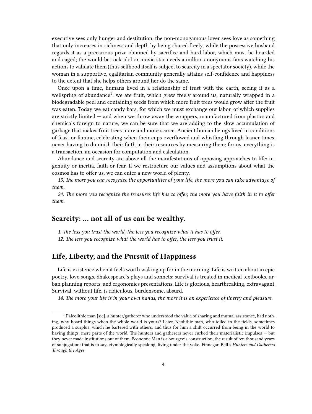executive sees only hunger and destitution; the non-monogamous lover sees love as something that only increases in richness and depth by being shared freely, while the possessive husband regards it as a precarious prize obtained by sacrifice and hard labor, which must be hoarded and caged; the would-be rock idol or movie star needs a million anonymous fans watching his actions to validate them (thus selfhood itself is subject to scarcity in a spectator society), while the woman in a supportive, egalitarian community generally attains self-confidence and happiness to the extent that she helps others around her do the same.

Once upon a time, humans lived in a relationship of trust with the earth, seeing it as a wellspring of abundance<sup>1</sup>: we ate fruit, which grew freely around us, naturally wrapped in a biodegradable peel and containing seeds from which more fruit trees would grow after the fruit was eaten. Today we eat candy bars, for which we must exchange our labor, of which supplies are strictly limited — and when we throw away the wrappers, manufactured from plastics and chemicals foreign to nature, we can be sure that we are adding to the slow accumulation of garbage that makes fruit trees more and more scarce. Ancient human beings lived in conditions of feast or famine, celebrating when their cups overflowed and whistling through leaner times, never having to diminish their faith in their resources by measuring them; for us, everything is a transaction, an occasion for computation and calculation.

Abundance and scarcity are above all the manifestations of opposing approaches to life: ingenuity or inertia, faith or fear. If we restructure our values and assumptions about what the cosmos has to offer us, we can enter a new world of plenty.

*13. The more you can recognize the opportunities of your life, the more you can take advantage of them.*

*24. The more you recognize the treasures life has to offer, the more you have faith in it to offer them.*

### <span id="page-3-0"></span>**Scarcity: … not all of us can be wealthy.**

*1. The less you trust the world, the less you recognize what it has to offer. 12. The less you recognize what the world has to offer, the less you trust it.*

#### <span id="page-3-1"></span>**Life, Liberty, and the Pursuit of Happiness**

Life is existence when it feels worth waking up for in the morning. Life is written about in epic poetry, love songs, Shakespeare's plays and sonnets; survival is treated in medical textbooks, urban planning reports, and ergonomics presentations. Life is glorious, heartbreaking, extravagant. Survival, without life, is ridiculous, burdensome, absurd.

*14. The more your life is in your own hands, the more it is an experience of liberty and pleasure.*

<sup>&</sup>lt;sup>1</sup> Paleolithic man [sic], a hunter/gatherer who understood the value of sharing and mutual assistance, had nothing, why hoard things when the whole world is yours? Later, Neolithic man, who toiled in the fields, sometimes produced a surplus, which he bartered with others, and thus for him a shift occurred from being in the world to having things, mere parts of the world. The hunters and gatherers never curbed their materialistic impulses — but they never made institutions out of them. Economic Man is a bourgeois construction, the result of ten thousand years of subjugation: that is to say, etymologically speaking, living under the yoke.-Finnegan Bell's *Hunters and Gatherers Through the Ages*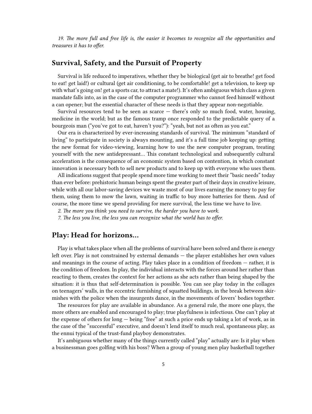*19. The more full and free life is, the easier it becomes to recognize all the opportunities and treasures it has to offer.*

#### <span id="page-4-0"></span>**Survival, Safety, and the Pursuit of Property**

Survival is life reduced to imperatives, whether they be biological (get air to breathe! get food to eat! get laid!) or cultural (get air conditioning, to be comfortable! get a television, to keep up with what's going on! get a sports car, to attract a mate!). It's often ambiguous which class a given mandate falls into, as in the case of the computer programmer who cannot feed himself without a can opener; but the essential character of these needs is that they appear non-negotiable.

Survival resources tend to be seen as scarce — there's only so much food, water, housing, medicine in the world; but as the famous tramp once responded to the predictable query of a bourgeois man ("you've got to eat, haven't you?"): "yeah, but not as often as you eat."

Our era is characterized by ever-increasing standards of survival. The minimum "standard of living" to participate in society is always mounting, and it's a full time job keeping up: getting the new format for video-viewing, learning how to use the new computer program, treating yourself with the new antidepressant… This constant technological and subsequently cultural acceleration is the consequence of an economic system based on contention, in which constant innovation is necessary both to sell new products and to keep up with everyone who uses them.

All indications suggest that people spend more time working to meet their "basic needs" today than ever before: prehistoric human beings spent the greater part of their days in creative leisure, while with all our labor-saving devices we waste most of our lives earning the money to pay for them, using them to mow the lawn, waiting in traffic to buy more batteries for them. And of course, the more time we spend providing for mere survival, the less time we have to live.

- *2. The more you think you need to survive, the harder you have to work.*
- *7. The less you live, the less you can recognize what the world has to offer.*

#### <span id="page-4-1"></span>**Play: Head for horizons…**

Play is what takes place when all the problems of survival have been solved and there is energy left over. Play is not constrained by external demands — the player establishes her own values and meanings in the course of acting. Play takes place in a condition of freedom — rather, it is the condition of freedom. In play, the individual interacts with the forces around her rather than reacting to them, creates the context for her actions as she acts rather than being shaped by the situation: it is thus that self-determination is possible. You can see play today in the collages on teenagers' walls, in the eccentric furnishing of squatted buildings, in the break between skirmishes with the police when the insurgents dance, in the movements of lovers' bodies together.

The resources for play are available in abundance. As a general rule, the more one plays, the more others are enabled and encouraged to play; true playfulness is infectious. One can't play at the expense of others for long — being "free" at such a price ends up taking a lot of work, as in the case of the "successful" executive, and doesn't lend itself to much real, spontaneous play, as the ennui typical of the trust-fund playboy demonstrates.

It's ambiguous whether many of the things currently called "play" actually are: Is it play when a businessman goes golfing with his boss? When a group of young men play basketball together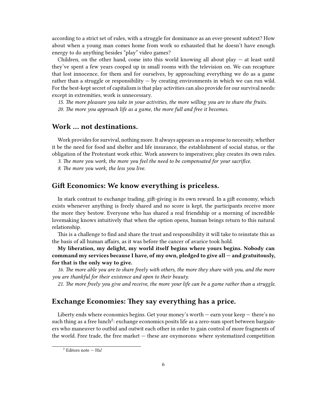according to a strict set of rules, with a struggle for dominance as an ever-present subtext? How about when a young man comes home from work so exhausted that he doesn't have enough energy to do anything besides "play" video games?

Children, on the other hand, come into this world knowing all about play  $-$  at least until they've spent a few years cooped up in small rooms with the television on. We can recapture that lost innocence, for them and for ourselves, by approaching everything we do as a game rather than a struggle or responsibility  $-$  by creating environments in which we can run wild. For the best-kept secret of capitalism is that play activities can also provide for our survival needs: except in extremities, work is unnecessary.

*15. The more pleasure you take in your activities, the more willing you are to share the fruits. 20. The more you approach life as a game, the more full and free it becomes.*

#### <span id="page-5-0"></span>**Work … not destinations.**

Work provides for survival, nothing more. It always appears as a response to necessity, whether it be the need for food and shelter and life insurance, the establishment of social status, or the obligation of the Protestant work ethic. Work answers to imperatives; play creates its own rules.

*3. The more you work, the more you feel the need to be compensated for your sacrifice.*

*8. The more you work, the less you live.*

#### <span id="page-5-1"></span>**Gift Economics: We know everything is priceless.**

In stark contrast to exchange trading, gift-giving is its own reward. In a gift economy, which exists whenever anything is freely shared and no score is kept, the participants receive more the more they bestow. Everyone who has shared a real friendship or a morning of incredible lovemaking knows intuitively that when the option opens, human beings return to this natural relationship.

This is a challenge to find and share the trust and responsibility it will take to reinstate this as the basis of all human affairs, as it was before the cancer of avarice took hold.

**My liberation, my delight, my world itself begins where yours begins. Nobody can command my services because I have, of my own, pledged to give all — and gratuitously, for that is the only way to give.**

*16. The more able you are to share freely with others, the more they share with you, and the more you are thankful for their existence and open to their beauty.*

*21. The more freely you give and receive, the more your life can be a game rather than a struggle.*

## <span id="page-5-2"></span>**Exchange Economies: They say everything has a price.**

Liberty ends where economics begins. Get your money's worth — earn your keep — there's no such thing as a free lunch $^2$ : exchange economics posits life as a zero-sum sport between bargainers who maneuver to outbid and outwit each other in order to gain control of more fragments of the world. Free trade, the free market — these are oxymorons: where systematized competition

 $2$  Editors note  $-$  Ha!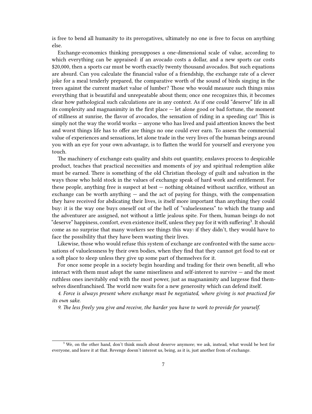is free to bend all humanity to its prerogatives, ultimately no one is free to focus on anything else.

Exchange-economics thinking presupposes a one-dimensional scale of value, according to which everything can be appraised: if an avocado costs a dollar, and a new sports car costs \$20,000, then a sports car must be worth exactly twenty thousand avocados. But such equations are absurd. Can you calculate the financial value of a friendship, the exchange rate of a clever joke for a meal tenderly prepared, the comparative worth of the sound of birds singing in the trees against the current market value of lumber? Those who would measure such things miss everything that is beautiful and unrepeatable about them; once one recognizes this, it becomes clear how pathological such calculations are in any context. As if one could "deserve" life in all its complexity and magnanimity in the first place — let alone good or bad fortune, the moment of stillness at sunrise, the flavor of avocados, the sensation of riding in a speeding car! This is simply not the way the world works — anyone who has lived and paid attention knows the best and worst things life has to offer are things no one could ever earn. To assess the commercial value of experiences and sensations, let alone trade in the very lives of the human beings around you with an eye for your own advantage, is to flatten the world for yourself and everyone you touch.

The machinery of exchange eats quality and shits out quantity, enslaves process to despicable product, teaches that practical necessities and moments of joy and spiritual redemption alike must be earned. There is something of the old Christian theology of guilt and salvation in the ways those who hold stock in the values of exchange speak of hard work and entitlement. For these people, anything free is suspect at best — nothing obtained without sacrifice, without an exchange can be worth anything  $-$  and the act of paying for things, with the compensation they have received for abdicating their lives, is itself more important than anything they could buy: it is the way one buys oneself out of the hell of "valuelessness" to which the tramp and the adventurer are assigned, not without a little jealous spite. For them, human beings do not "deserve" happiness, comfort, even existence itself, unless they pay for it with suffering<sup>3</sup>. It should come as no surprise that many workers see things this way: if they didn't, they would have to face the possibility that they have been wasting their lives.

Likewise, those who would refuse this system of exchange are confronted with the same accusations of valuelessness by their own bodies, when they find that they cannot get food to eat or a soft place to sleep unless they give up some part of themselves for it.

For once some people in a society begin hoarding and trading for their own benefit, all who interact with them must adopt the same miserliness and self-interest to survive — and the most ruthless ones inevitably end with the most power, just as magnanimity and largesse find themselves disenfranchised. The world now waits for a new generosity which can defend itself.

*4. Force is always present where exchange must be negotiated, where giving is not practiced for its own sake.*

*9. The less freely you give and receive, the harder you have to work to provide for yourself.*

<sup>&</sup>lt;sup>3</sup> We, on the other hand, don't think much about deserve anymore; we ask, instead, what would be best for everyone, and leave it at that. Revenge doesn't interest us, being, as it is, just another from of exchange.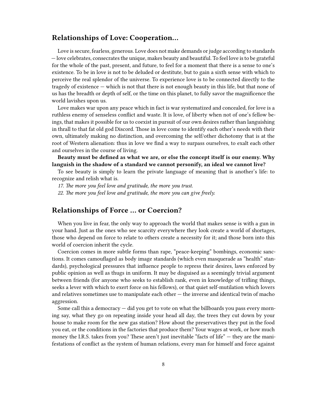#### <span id="page-7-0"></span>**Relationships of Love: Cooperation…**

Love is secure, fearless, generous. Love does not make demands or judge according to standards — love celebrates, consecrates the unique, makes beauty and beautiful. To feel love is to be grateful for the whole of the past, present, and future, to feel for a moment that there is a sense to one's existence. To be in love is not to be deluded or destitute, but to gain a sixth sense with which to perceive the real splendor of the universe. To experience love is to be connected directly to the tragedy of existence — which is not that there is not enough beauty in this life, but that none of us has the breadth or depth of self, or the time on this planet, to fully savor the magnificence the world lavishes upon us.

Love makes war upon any peace which in fact is war systematized and concealed, for love is a ruthless enemy of senseless conflict and waste. It is love, of liberty when not of one's fellow beings, that makes it possible for us to coexist in pursuit of our own desires rather than languishing in thrall to that fat old god Discord. Those in love come to identify each other's needs with their own, ultimately making no distinction, and overcoming the self/other dichotomy that is at the root of Western alienation: thus in love we find a way to surpass ourselves, to exalt each other and ourselves in the course of living.

**Beauty must be defined as what we are, or else the concept itself is our enemy. Why languish in the shadow of a standard we cannot personify, an ideal we cannot live?**

To see beauty is simply to learn the private language of meaning that is another's life: to recognize and relish what is.

*17. The more you feel love and gratitude, the more you trust.*

*22. The more you feel love and gratitude, the more you can give freely.*

#### <span id="page-7-1"></span>**Relationships of Force … or Coercion?**

When you live in fear, the only way to approach the world that makes sense is with a gun in your hand. Just as the ones who see scarcity everywhere they look create a world of shortages, those who depend on force to relate to others create a necessity for it; and those born into this world of coercion inherit the cycle.

Coercion comes in more subtle forms than rape, "peace-keeping" bombings, economic sanctions. It comes camouflaged as body image standards (which even masquerade as "health" standards), psychological pressures that influence people to repress their desires, laws enforced by public opinion as well as thugs in uniform. It may be disguised as a seemingly trivial argument between friends (for anyone who seeks to establish rank, even in knowledge of trifling things, seeks a lever with which to exert force on his fellows), or that quiet self-mutilation which lovers and relatives sometimes use to manipulate each other — the inverse and identical twin of macho aggression.

Some call this a democracy — did you get to vote on what the billboards you pass every morning say, what they go on repeating inside your head all day, the trees they cut down by your house to make room for the new gas station? How about the preservatives they put in the food you eat, or the conditions in the factories that produce them? Your wages at work, or how much money the I.R.S. takes from you? These aren't just inevitable "facts of life" — they are the manifestations of conflict as the system of human relations, every man for himself and force against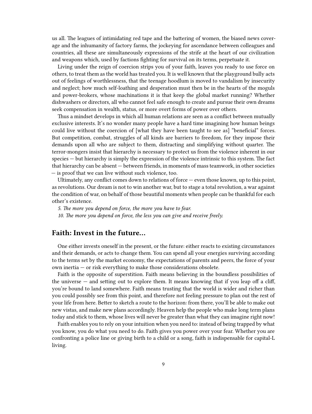us all. The leagues of intimidating red tape and the battering of women, the biased news coverage and the inhumanity of factory farms, the jockeying for ascendance between colleagues and countries, all these are simultaneously expressions of the strife at the heart of our civilization and weapons which, used by factions fighting for survival on its terms, perpetuate it.

Living under the reign of coercion strips you of your faith, leaves you ready to use force on others, to treat them as the world has treated you. It is well known that the playground bully acts out of feelings of worthlessness, that the teenage hoodlum is moved to vandalism by insecurity and neglect; how much self-loathing and desperation must then be in the hearts of the moguls and power-brokers, whose machinations it is that keep the global market running? Whether dishwashers or directors, all who cannot feel safe enough to create and pursue their own dreams seek compensation in wealth, status, or more overt forms of power over others.

Thus a mindset develops in which all human relations are seen as a conflict between mutually exclusive interests. It's no wonder many people have a hard time imagining how human beings could live without the coercion of [what they have been taught to see as] "beneficial" forces. But competition, combat, struggles of all kinds are barriers to freedom, for they impose their demands upon all who are subject to them, distracting and simplifying without quarter. The terror-mongers insist that hierarchy is necessary to protect us from the violence inherent in our species — but hierarchy is simply the expression of the violence intrinsic to this system. The fact that hierarchy can be absent — between friends, in moments of mass teamwork, in other societies — is proof that we can live without such violence, too.

Ultimately, any conflict comes down to relations of force — even those known, up to this point, as revolutions. Our dream is not to win another war, but to stage a total revolution, a war against the condition of war, on behalf of those beautiful moments when people can be thankful for each other's existence.

*5. The more you depend on force, the more you have to fear. 10. The more you depend on force, the less you can give and receive freely.*

#### <span id="page-8-0"></span>**Faith: Invest in the future…**

One either invests oneself in the present, or the future: either reacts to existing circumstances and their demands, or acts to change them. You can spend all your energies surviving according to the terms set by the market economy, the expectations of parents and peers, the force of your own inertia — or risk everything to make those considerations obsolete.

Faith is the opposite of superstition. Faith means believing in the boundless possibilities of the universe  $-$  and setting out to explore them. It means knowing that if you leap off a cliff, you're bound to land somewhere. Faith means trusting that the world is wider and richer than you could possibly see from this point, and therefore not feeling pressure to plan out the rest of your life from here. Better to sketch a route to the horizon: from there, you'll be able to make out new vistas, and make new plans accordingly. Heaven help the people who make long term plans today and stick to them, whose lives will never be greater than what they can imagine right now!

Faith enables you to rely on your intuition when you need to: instead of being trapped by what you know, you do what you need to do. Faith gives you power over your fear. Whether you are confronting a police line or giving birth to a child or a song, faith is indispensable for capital-L living.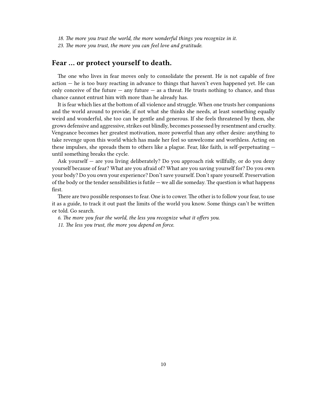- *18. The more you trust the world, the more wonderful things you recognize in it.*
- *23. The more you trust, the more you can feel love and gratitude.*

## <span id="page-9-0"></span>**Fear … or protect yourself to death.**

The one who lives in fear moves only to consolidate the present. He is not capable of free action — he is too busy reacting in advance to things that haven't even happened yet. He can only conceive of the future  $-$  any future  $-$  as a threat. He trusts nothing to chance, and thus chance cannot entrust him with more than he already has.

It is fear which lies at the bottom of all violence and struggle. When one trusts her companions and the world around to provide, if not what she thinks she needs, at least something equally weird and wonderful, she too can be gentle and generous. If she feels threatened by them, she grows defensive and aggressive, strikes out blindly, becomes possessed by resentment and cruelty. Vengeance becomes her greatest motivation, more powerful than any other desire: anything to take revenge upon this world which has made her feel so unwelcome and worthless. Acting on these impulses, she spreads them to others like a plague. Fear, like faith, is self-perpetuating until something breaks the cycle.

Ask yourself — are you living deliberately? Do you approach risk willfully, or do you deny yourself because of fear? What are you afraid of? What are you saving yourself for? Do you own your body? Do you own your experience? Don't save yourself. Don't spare yourself. Preservation of the body or the tender sensibilities is futile — we all die someday. The question is what happens first.

There are two possible responses to fear. One is to cower. The other is to follow your fear, to use it as a guide, to track it out past the limits of the world you know. Some things can't be written or told. Go search.

*6. The more you fear the world, the less you recognize what it offers you. 11. The less you trust, the more you depend on force.*